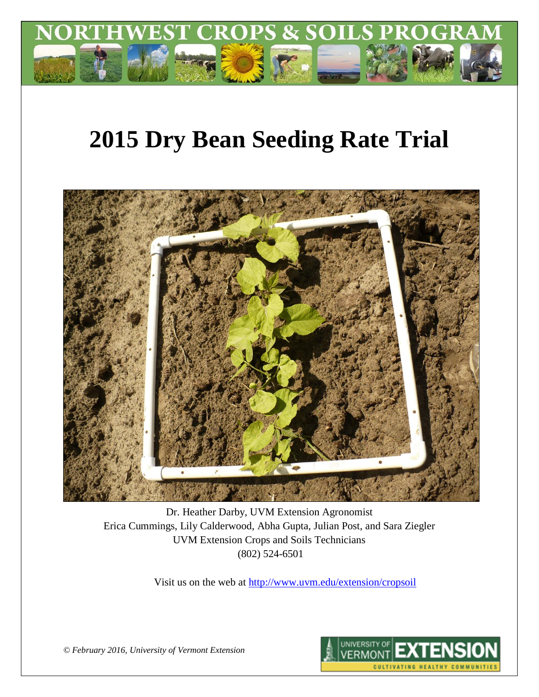

# **2015 Dry Bean Seeding Rate Trial**



Dr. Heather Darby, UVM Extension Agronomist Erica Cummings, Lily Calderwood, Abha Gupta, Julian Post, and Sara Ziegler UVM Extension Crops and Soils Technicians (802) 524-6501

Visit us on the web at<http://www.uvm.edu/extension/cropsoil>



*© February 2016, University of Vermont Extension*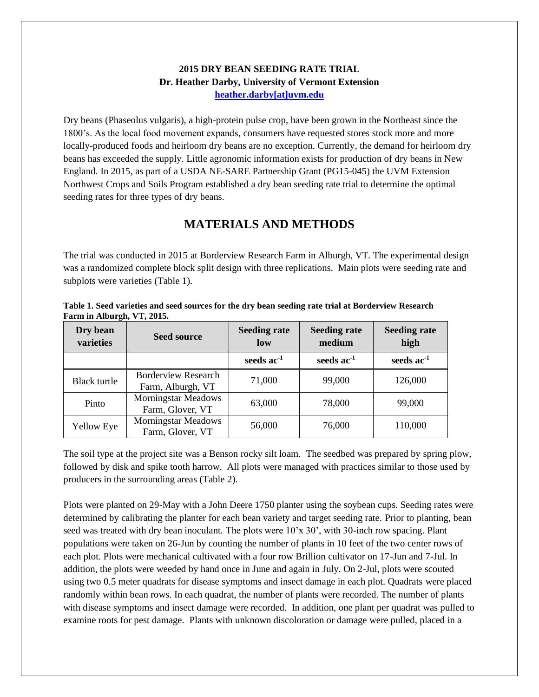#### **2015 DRY BEAN SEEDING RATE TRIAL Dr. Heather Darby, University of Vermont Extension [heather.darby\[at\]uvm.edu](mailto:hdarby@uvm.edu?subject=2012%20Winter%20Wheat%20Planting%20Date)**

Dry beans (Phaseolus vulgaris), a high-protein pulse crop, have been grown in the Northeast since the 1800's. As the local food movement expands, consumers have requested stores stock more and more locally-produced foods and heirloom dry beans are no exception. Currently, the demand for heirloom dry beans has exceeded the supply. Little agronomic information exists for production of dry beans in New England. In 2015, as part of a USDA NE-SARE Partnership Grant (PG15-045) the UVM Extension Northwest Crops and Soils Program established a dry bean seeding rate trial to determine the optimal seeding rates for three types of dry beans.

## **MATERIALS AND METHODS**

The trial was conducted in 2015 at Borderview Research Farm in Alburgh, VT. The experimental design was a randomized complete block split design with three replications. Main plots were seeding rate and subplots were varieties (Table 1).

| Dry bean<br>varieties | <b>Seed source</b>                             | <b>Seeding rate</b><br>low | <b>Seeding rate</b><br>medium | <b>Seeding rate</b><br>high |
|-----------------------|------------------------------------------------|----------------------------|-------------------------------|-----------------------------|
|                       |                                                | seeds $ac^{-1}$            | seeds $ac^{-1}$               | seeds $ac-1$                |
| Black turtle          | Borderview Research<br>Farm, Alburgh, VT       | 71,000                     | 99,000                        | 126,000                     |
| Pinto                 | <b>Morningstar Meadows</b><br>Farm, Glover, VT | 63,000                     | 78,000                        | 99,000                      |
| <b>Yellow Eye</b>     | <b>Morningstar Meadows</b><br>Farm, Glover, VT | 56,000                     | 76,000                        | 110,000                     |

**Table 1. Seed varieties and seed sources for the dry bean seeding rate trial at Borderview Research Farm in Alburgh, VT, 2015.**

The soil type at the project site was a Benson rocky silt loam. The seedbed was prepared by spring plow, followed by disk and spike tooth harrow. All plots were managed with practices similar to those used by producers in the surrounding areas (Table 2).

Plots were planted on 29-May with a John Deere 1750 planter using the soybean cups. Seeding rates were determined by calibrating the planter for each bean variety and target seeding rate. Prior to planting, bean seed was treated with dry bean inoculant. The plots were 10'x 30', with 30-inch row spacing. Plant populations were taken on 26-Jun by counting the number of plants in 10 feet of the two center rows of each plot. Plots were mechanical cultivated with a four row Brillion cultivator on 17-Jun and 7-Jul. In addition, the plots were weeded by hand once in June and again in July. On 2-Jul, plots were scouted using two 0.5 meter quadrats for disease symptoms and insect damage in each plot. Quadrats were placed randomly within bean rows. In each quadrat, the number of plants were recorded. The number of plants with disease symptoms and insect damage were recorded. In addition, one plant per quadrat was pulled to examine roots for pest damage. Plants with unknown discoloration or damage were pulled, placed in a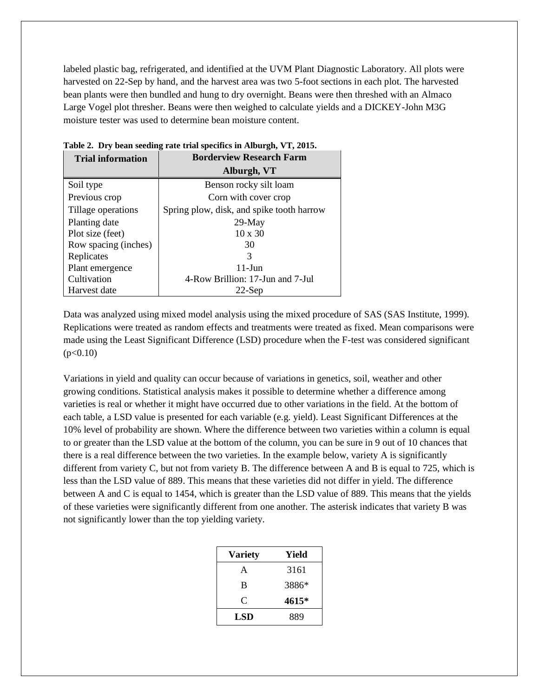labeled plastic bag, refrigerated, and identified at the UVM Plant Diagnostic Laboratory. All plots were harvested on 22-Sep by hand, and the harvest area was two 5-foot sections in each plot. The harvested bean plants were then bundled and hung to dry overnight. Beans were then threshed with an Almaco Large Vogel plot thresher. Beans were then weighed to calculate yields and a DICKEY-John M3G moisture tester was used to determine bean moisture content.

| <b>Trial information</b> | <b>Borderview Research Farm</b>           |  |  |
|--------------------------|-------------------------------------------|--|--|
|                          | Alburgh, VT                               |  |  |
| Soil type                | Benson rocky silt loam                    |  |  |
| Previous crop            | Corn with cover crop                      |  |  |
| Tillage operations       | Spring plow, disk, and spike tooth harrow |  |  |
| Planting date            | $29$ -May                                 |  |  |
| Plot size (feet)         | $10 \times 30$                            |  |  |
| Row spacing (inches)     | 30                                        |  |  |
| Replicates               | 3                                         |  |  |
| Plant emergence          | $11$ -Jun                                 |  |  |
| Cultivation              | 4-Row Brillion: 17-Jun and 7-Jul          |  |  |
| Harvest date             | $22$ -Sen                                 |  |  |

**Table 2. Dry bean seeding rate trial specifics in Alburgh, VT, 2015.**

Data was analyzed using mixed model analysis using the mixed procedure of SAS (SAS Institute, 1999). Replications were treated as random effects and treatments were treated as fixed. Mean comparisons were made using the Least Significant Difference (LSD) procedure when the F-test was considered significant  $(p<0.10)$ 

Variations in yield and quality can occur because of variations in genetics, soil, weather and other growing conditions. Statistical analysis makes it possible to determine whether a difference among varieties is real or whether it might have occurred due to other variations in the field. At the bottom of each table, a LSD value is presented for each variable (e.g. yield). Least Significant Differences at the 10% level of probability are shown. Where the difference between two varieties within a column is equal to or greater than the LSD value at the bottom of the column, you can be sure in 9 out of 10 chances that there is a real difference between the two varieties. In the example below, variety A is significantly different from variety C, but not from variety B. The difference between A and B is equal to 725, which is less than the LSD value of 889. This means that these varieties did not differ in yield. The difference between A and C is equal to 1454, which is greater than the LSD value of 889. This means that the yields of these varieties were significantly different from one another. The asterisk indicates that variety B was not significantly lower than the top yielding variety.

| Variety | Yield |
|---------|-------|
| A       | 3161  |
| B       | 3886* |
| C       | 4615* |
| LSD     | 889   |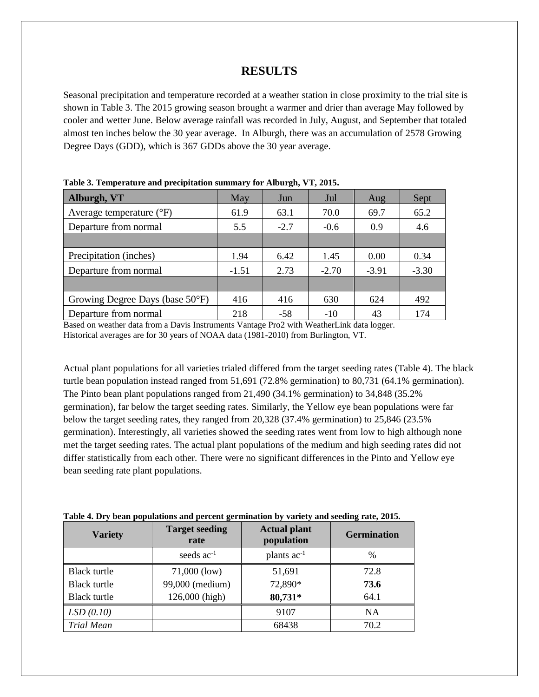## **RESULTS**

Seasonal precipitation and temperature recorded at a weather station in close proximity to the trial site is shown in Table 3. The 2015 growing season brought a warmer and drier than average May followed by cooler and wetter June. Below average rainfall was recorded in July, August, and September that totaled almost ten inches below the 30 year average. In Alburgh, there was an accumulation of 2578 Growing Degree Days (GDD), which is 367 GDDs above the 30 year average.

| Alburgh, VT                               | May     | Jun    | Jul     | Aug     | Sept    |
|-------------------------------------------|---------|--------|---------|---------|---------|
| Average temperature $({}^{\circ}F)$       | 61.9    | 63.1   | 70.0    | 69.7    | 65.2    |
| Departure from normal                     | 5.5     | $-2.7$ | $-0.6$  | 0.9     | 4.6     |
|                                           |         |        |         |         |         |
| Precipitation (inches)                    | 1.94    | 6.42   | 1.45    | 0.00    | 0.34    |
| Departure from normal                     | $-1.51$ | 2.73   | $-2.70$ | $-3.91$ | $-3.30$ |
|                                           |         |        |         |         |         |
| Growing Degree Days (base $50^{\circ}$ F) | 416     | 416    | 630     | 624     | 492     |
| Departure from normal                     | 218     | $-58$  | $-10$   | 43      | 174     |

**Table 3. Temperature and precipitation summary for Alburgh, VT, 2015.**

Based on weather data from a Davis Instruments Vantage Pro2 with WeatherLink data logger. Historical averages are for 30 years of NOAA data (1981-2010) from Burlington, VT.

Actual plant populations for all varieties trialed differed from the target seeding rates (Table 4). The black turtle bean population instead ranged from 51,691 (72.8% germination) to 80,731 (64.1% germination). The Pinto bean plant populations ranged from 21,490 (34.1% germination) to 34,848 (35.2% germination), far below the target seeding rates. Similarly, the Yellow eye bean populations were far below the target seeding rates, they ranged from 20,328 (37.4% germination) to 25,846 (23.5% germination). Interestingly, all varieties showed the seeding rates went from low to high although none met the target seeding rates. The actual plant populations of the medium and high seeding rates did not differ statistically from each other. There were no significant differences in the Pinto and Yellow eye bean seeding rate plant populations.

| <b>Variety</b>      | <b>Target seeding</b><br>rate | <b>Actual plant</b><br>population | <b>Germination</b> |
|---------------------|-------------------------------|-----------------------------------|--------------------|
|                     | seeds $ac^{-1}$               | plants ac <sup>-1</sup>           | $\frac{0}{0}$      |
| <b>Black turtle</b> | $71,000$ (low)                | 51,691                            | 72.8               |
| Black turtle        | 99,000 (medium)               | 72,890*                           | 73.6               |
| <b>Black turtle</b> | 126,000 (high)                | 80,731*                           | 64.1               |
| LSD(0.10)           |                               | 9107                              | NA                 |
| <b>Trial Mean</b>   |                               | 68438                             | 70.2               |

|  |  |  | Table 4. Dry bean populations and percent germination by variety and seeding rate, 2015. |  |
|--|--|--|------------------------------------------------------------------------------------------|--|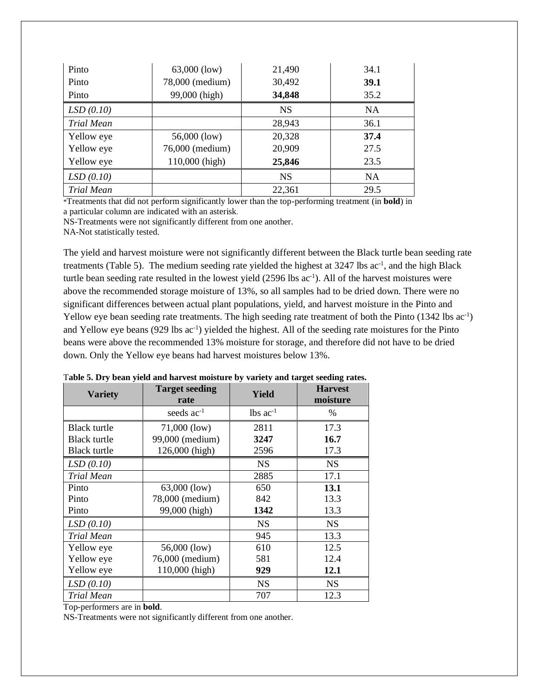| Pinto             | $63,000$ (low)  | 21,490    | 34.1      |
|-------------------|-----------------|-----------|-----------|
| Pinto             | 78,000 (medium) | 30,492    | 39.1      |
| Pinto             | 99,000 (high)   | 34,848    | 35.2      |
| LSD(0.10)         |                 | <b>NS</b> | <b>NA</b> |
| <b>Trial Mean</b> |                 | 28,943    | 36.1      |
| Yellow eye        | 56,000 (low)    | 20,328    | 37.4      |
| Yellow eye        | 76,000 (medium) | 20,909    | 27.5      |
| Yellow eye        | 110,000 (high)  | 25,846    | 23.5      |
| LSD(0.10)         |                 | <b>NS</b> | <b>NA</b> |
| Trial Mean        |                 | 22,361    | 29.5      |

\*Treatments that did not perform significantly lower than the top-performing treatment (in **bold**) in a particular column are indicated with an asterisk.

NS-Treatments were not significantly different from one another.

NA-Not statistically tested.

The yield and harvest moisture were not significantly different between the Black turtle bean seeding rate treatments (Table 5). The medium seeding rate yielded the highest at 3247 lbs ac<sup>-1</sup>, and the high Black turtle bean seeding rate resulted in the lowest yield (2596 lbs ac<sup>-1</sup>). All of the harvest moistures were above the recommended storage moisture of 13%, so all samples had to be dried down. There were no significant differences between actual plant populations, yield, and harvest moisture in the Pinto and Yellow eye bean seeding rate treatments. The high seeding rate treatment of both the Pinto (1342 lbs ac<sup>-1</sup>) and Yellow eye beans (929 lbs ac<sup>-1</sup>) yielded the highest. All of the seeding rate moistures for the Pinto beans were above the recommended 13% moisture for storage, and therefore did not have to be dried down. Only the Yellow eye beans had harvest moistures below 13%.

| <b>Variety</b>      | <b>Target seeding</b><br>rate | Yield                  | <b>Harvest</b><br>moisture |
|---------------------|-------------------------------|------------------------|----------------------------|
|                     | seeds $ac^{-1}$               | $lbs$ ac <sup>-1</sup> | %                          |
| <b>Black turtle</b> | 71,000 (low)                  | 2811                   | 17.3                       |
| <b>Black turtle</b> | 99,000 (medium)               | 3247                   | 16.7                       |
| Black turtle        | 126,000 (high)                | 2596                   | 17.3                       |
| LSD(0.10)           |                               | <b>NS</b>              | <b>NS</b>                  |
| Trial Mean          |                               | 2885                   | 17.1                       |
| Pinto               | $63,000$ (low)                | 650                    | 13.1                       |
| Pinto               | 78,000 (medium)               | 842                    | 13.3                       |
| Pinto               | 99,000 (high)                 | 1342                   | 13.3                       |
| LSD(0.10)           |                               | <b>NS</b>              | <b>NS</b>                  |
| Trial Mean          |                               | 945                    | 13.3                       |
| Yellow eye          | 56,000 (low)                  | 610                    | 12.5                       |
| Yellow eye          | 76,000 (medium)               | 581                    | 12.4                       |
| Yellow eye          | 110,000 (high)                | 929                    | 12.1                       |
| LSD(0.10)           |                               | <b>NS</b>              | <b>NS</b>                  |
| Trial Mean          |                               | 707                    | 12.3                       |

T**able 5. Dry bean yield and harvest moisture by variety and target seeding rates.**

Top-performers are in **bold**.

NS-Treatments were not significantly different from one another.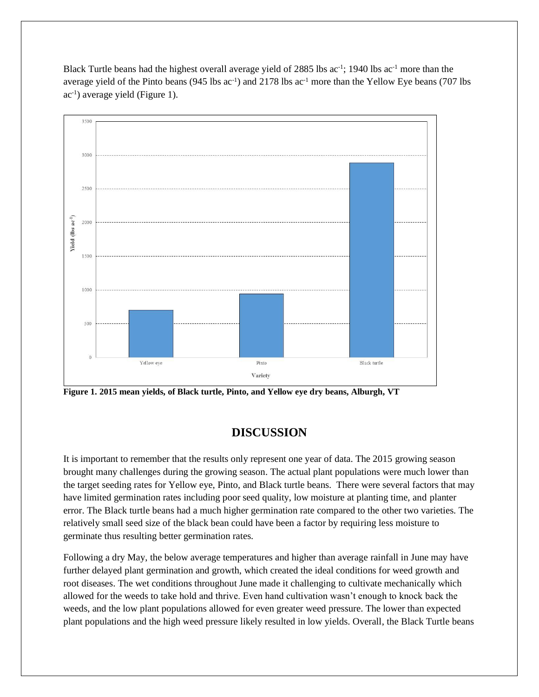Black Turtle beans had the highest overall average yield of 2885 lbs ac<sup>-1</sup>; 1940 lbs ac<sup>-1</sup> more than the average yield of the Pinto beans ( $945$  lbs ac<sup>-1</sup>) and 2178 lbs ac<sup>-1</sup> more than the Yellow Eye beans ( $707$  lbs ac<sup>-1</sup>) average yield (Figure 1).



**Figure 1. 2015 mean yields, of Black turtle, Pinto, and Yellow eye dry beans, Alburgh, VT**

# **DISCUSSION**

It is important to remember that the results only represent one year of data. The 2015 growing season brought many challenges during the growing season. The actual plant populations were much lower than the target seeding rates for Yellow eye, Pinto, and Black turtle beans. There were several factors that may have limited germination rates including poor seed quality, low moisture at planting time, and planter error. The Black turtle beans had a much higher germination rate compared to the other two varieties. The relatively small seed size of the black bean could have been a factor by requiring less moisture to germinate thus resulting better germination rates.

Following a dry May, the below average temperatures and higher than average rainfall in June may have further delayed plant germination and growth, which created the ideal conditions for weed growth and root diseases. The wet conditions throughout June made it challenging to cultivate mechanically which allowed for the weeds to take hold and thrive. Even hand cultivation wasn't enough to knock back the weeds, and the low plant populations allowed for even greater weed pressure. The lower than expected plant populations and the high weed pressure likely resulted in low yields. Overall, the Black Turtle beans